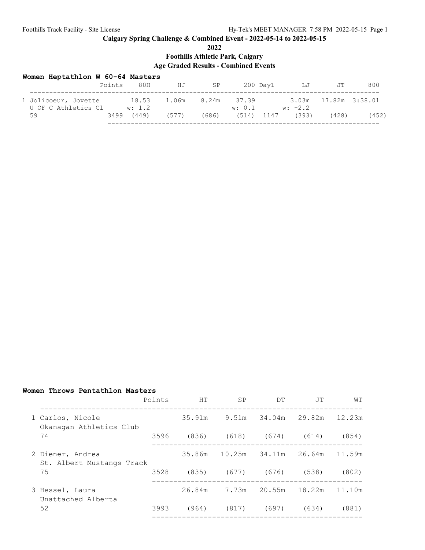## **Calgary Spring Challenge & Combined Event - 2022-05-14 to 2022-05-15**

|  | 2022 |  |
|--|------|--|
|  |      |  |

**Foothills Athletic Park, Calgary**

## **Age Graded Results - Combined Events**

| Women Heptathlon W 60-64 Masters |  |  |  |
|----------------------------------|--|--|--|
|----------------------------------|--|--|--|

|                                             | Points | 80H        | HJ                      | SP    |        | 200 Day1 LJ        | JT                   | 800   |
|---------------------------------------------|--------|------------|-------------------------|-------|--------|--------------------|----------------------|-------|
| 1 Jolicoeur, Jovette<br>U OF C Athletics Cl |        | w: 1.2     | 18.53 1.06m 8.24m 37.39 |       | w: 0.1 | $w: -2.2$          | 3.03m 17.82m 3:38.01 |       |
| 59                                          |        | 3499 (449) | (577)                   | (686) |        | $(514)$ 1147 (393) | (428)                | (452) |
|                                             |        |            |                         |       |        |                    |                      |       |

## **Women Throws Pentathlon Masters**

|                                                   |                                               | Points | HT     | SP            | DT              | .TT         | WТ     |
|---------------------------------------------------|-----------------------------------------------|--------|--------|---------------|-----------------|-------------|--------|
| 1 Carlos, Nicole<br>Okanagan Athletics Club<br>74 |                                               |        | 35.91m | 9.51m         | 34.04m          | 29.82m      | 12.23m |
|                                                   | 3596                                          | (836)  | (618)  |               | $(674)$ $(614)$ | (854)       |        |
|                                                   | 2 Diener, Andrea<br>St. Albert Mustangs Track |        |        | 35.86m 10.25m | 34.11m          | 26.64m      | 11.59m |
|                                                   | 75                                            | 3528   | (835)  | (677)         |                 | (676) (538) | (802)  |
|                                                   | 3 Hessel, Laura<br>Unattached Alberta         |        | 26.84m |               | 7.73m 20.55m    | 18.22m      | 11.10m |
| 52                                                |                                               | 3993   | (964)  | (817)         | (697)           | (634)       | (881)  |
|                                                   |                                               |        |        |               |                 |             |        |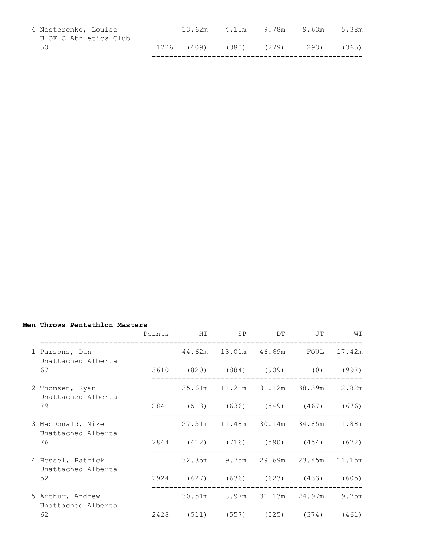| 4 Nesterenko, Louise<br>U OF C Athletics Club | 13.62m           | 4.15m | 9.78m | 9.63m | 5.38m |
|-----------------------------------------------|------------------|-------|-------|-------|-------|
| 50                                            | 1726 (409) (380) |       | (279) | 293)  | (365) |
|                                               |                  |       |       |       |       |

## **Men Throws Pentathlon Masters**

|                                                                                                     | Points HT SP DT JT                 |                                        |  | WТ |
|-----------------------------------------------------------------------------------------------------|------------------------------------|----------------------------------------|--|----|
| 1 Parsons, Dan                     44.62m   13.01m   46.69m     FOUL   17.42m<br>Unattached Alberta |                                    |                                        |  |    |
| 67                                                                                                  | 3610 (820) (884) (909) (0) (997)   |                                        |  |    |
| 2 Thomsen, Ryan<br>Unattached Alberta                                                               |                                    | 35.61m  11.21m  31.12m  38.39m  12.82m |  |    |
| 79                                                                                                  | 2841 (513) (636) (549) (467) (676) |                                        |  |    |
| 3 MacDonald, Mike<br>Unattached Alberta                                                             |                                    | 27.31m 11.48m 30.14m 34.85m 11.88m     |  |    |
| 76                                                                                                  | 2844 (412) (716) (590) (454) (672) |                                        |  |    |
| 4 Hessel, Patrick<br>Unattached Alberta                                                             |                                    | 32.35m 9.75m 29.69m 23.45m 11.15m      |  |    |
| 52                                                                                                  | 2924 (627) (636) (623) (433) (605) |                                        |  |    |
| 5 Arthur, Andrew<br>Unattached Alberta                                                              |                                    | 30.51m 8.97m 31.13m 24.97m 9.75m       |  |    |
| 62                                                                                                  | 2428 (511) (557) (525) (374) (461) |                                        |  |    |